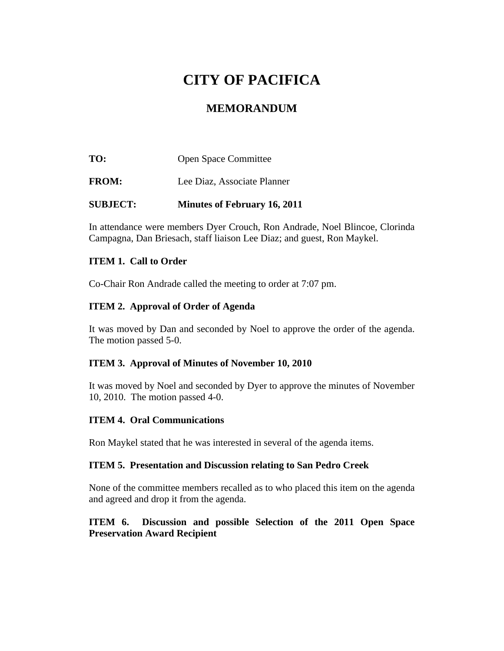# **CITY OF PACIFICA**

## **MEMORANDUM**

**TO:** Open Space Committee **FROM:** Lee Diaz, Associate Planner **SUBJECT: Minutes of February 16, 2011** 

In attendance were members Dyer Crouch, Ron Andrade, Noel Blincoe, Clorinda Campagna, Dan Briesach, staff liaison Lee Diaz; and guest, Ron Maykel.

#### **ITEM 1. Call to Order**

Co-Chair Ron Andrade called the meeting to order at 7:07 pm.

#### **ITEM 2. Approval of Order of Agenda**

It was moved by Dan and seconded by Noel to approve the order of the agenda. The motion passed 5-0.

#### **ITEM 3. Approval of Minutes of November 10, 2010**

It was moved by Noel and seconded by Dyer to approve the minutes of November 10, 2010. The motion passed 4-0.

#### **ITEM 4. Oral Communications**

Ron Maykel stated that he was interested in several of the agenda items.

#### **ITEM 5. Presentation and Discussion relating to San Pedro Creek**

None of the committee members recalled as to who placed this item on the agenda and agreed and drop it from the agenda.

#### **ITEM 6. Discussion and possible Selection of the 2011 Open Space Preservation Award Recipient**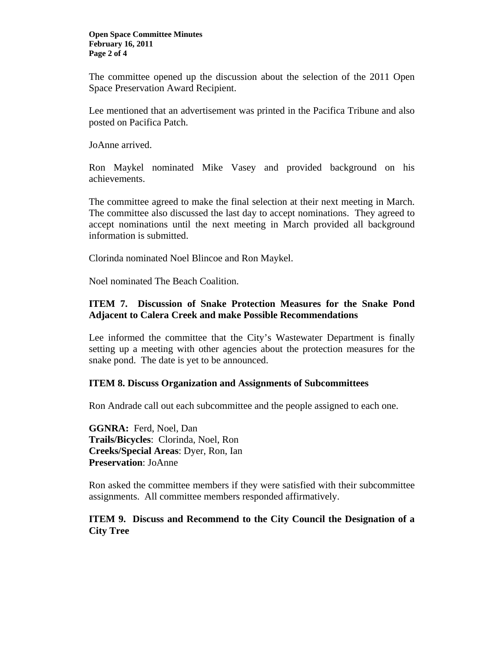The committee opened up the discussion about the selection of the 2011 Open Space Preservation Award Recipient.

Lee mentioned that an advertisement was printed in the Pacifica Tribune and also posted on Pacifica Patch.

JoAnne arrived.

Ron Maykel nominated Mike Vasey and provided background on his achievements.

The committee agreed to make the final selection at their next meeting in March. The committee also discussed the last day to accept nominations. They agreed to accept nominations until the next meeting in March provided all background information is submitted.

Clorinda nominated Noel Blincoe and Ron Maykel.

Noel nominated The Beach Coalition.

#### **ITEM 7. Discussion of Snake Protection Measures for the Snake Pond Adjacent to Calera Creek and make Possible Recommendations**

Lee informed the committee that the City's Wastewater Department is finally setting up a meeting with other agencies about the protection measures for the snake pond. The date is yet to be announced.

#### **ITEM 8. Discuss Organization and Assignments of Subcommittees**

Ron Andrade call out each subcommittee and the people assigned to each one.

**GGNRA:** Ferd, Noel, Dan **Trails/Bicycles**: Clorinda, Noel, Ron **Creeks/Special Areas**: Dyer, Ron, Ian **Preservation**: JoAnne

Ron asked the committee members if they were satisfied with their subcommittee assignments. All committee members responded affirmatively.

#### **ITEM 9. Discuss and Recommend to the City Council the Designation of a City Tree**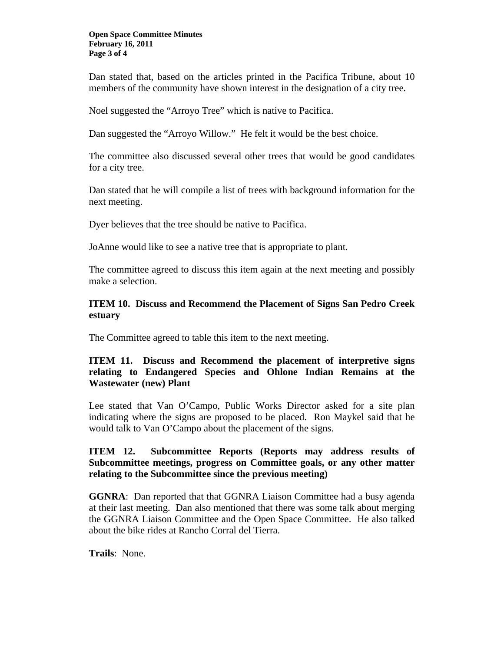#### **Open Space Committee Minutes February 16, 2011 Page 3 of 4**

Dan stated that, based on the articles printed in the Pacifica Tribune, about 10 members of the community have shown interest in the designation of a city tree.

Noel suggested the "Arroyo Tree" which is native to Pacifica.

Dan suggested the "Arroyo Willow." He felt it would be the best choice.

The committee also discussed several other trees that would be good candidates for a city tree.

Dan stated that he will compile a list of trees with background information for the next meeting.

Dyer believes that the tree should be native to Pacifica.

JoAnne would like to see a native tree that is appropriate to plant.

The committee agreed to discuss this item again at the next meeting and possibly make a selection.

#### **ITEM 10. Discuss and Recommend the Placement of Signs San Pedro Creek estuary**

The Committee agreed to table this item to the next meeting.

#### **ITEM 11. Discuss and Recommend the placement of interpretive signs relating to Endangered Species and Ohlone Indian Remains at the Wastewater (new) Plant**

Lee stated that Van O'Campo, Public Works Director asked for a site plan indicating where the signs are proposed to be placed. Ron Maykel said that he would talk to Van O'Campo about the placement of the signs.

#### **ITEM 12. Subcommittee Reports (Reports may address results of Subcommittee meetings, progress on Committee goals, or any other matter relating to the Subcommittee since the previous meeting)**

**GGNRA**: Dan reported that that GGNRA Liaison Committee had a busy agenda at their last meeting. Dan also mentioned that there was some talk about merging the GGNRA Liaison Committee and the Open Space Committee. He also talked about the bike rides at Rancho Corral del Tierra.

**Trails**: None.